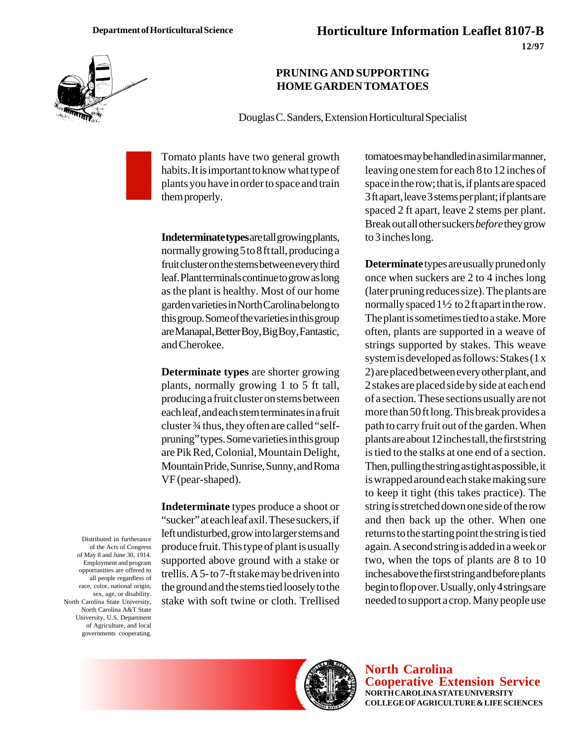

## **PRUNING AND SUPPORTING HOME GARDEN TOMATOES**

Douglas C. Sanders, Extension Horticultural Specialist

Tomato plants have two general growth habits. It is important to know what type of plants you have in order to space and train them properly.

**Indeterminate types** are tall growing plants, normally growing 5 to 8 ft tall, producing a fruit cluster on the stems between every third leaf. Plant terminals continue to grow as long as the plant is healthy. Most of our home garden varieties in North Carolina belong to this group. Some of the varieties in this group are Manapal, Better Boy, Big Boy, Fantastic, and Cherokee.

**Determinate types** are shorter growing plants, normally growing 1 to 5 ft tall, producing a fruit cluster on stems between each leaf, and each stem terminates in a fruit cluster ¾ thus, they often are called "selfpruning" types. Some varieties in this group are Pik Red, Colonial, Mountain Delight, Mountain Pride, Sunrise, Sunny, and Roma VF (pear-shaped).

**Indeterminate** types produce a shoot or "sucker" at each leaf axil. These suckers, if left undisturbed, grow into larger stems and produce fruit. This type of plant is usually supported above ground with a stake or trellis. A 5- to 7-ft stake may be driven into the ground and the stems tied loosely to the stake with soft twine or cloth. Trellised tomatoes may be handled in a similar manner, leaving one stem for each 8 to 12 inches of space in the row; that is, if plants are spaced 3 ft apart, leave 3 stems per plant; if plants are spaced 2 ft apart, leave 2 stems per plant. Break out all other suckers *before* they grow to 3 inches long.

**Determinate** types are usually pruned only once when suckers are 2 to 4 inches long (later pruning reduces size). The plants are normally spaced  $1\frac{1}{2}$  to 2 ft apart in the row. The plant is sometimes tied to a stake. More often, plants are supported in a weave of strings supported by stakes. This weave system is developed as follows: Stakes (1 x 2) are placed between every other plant, and 2 stakes are placed side by side at each end of a section. These sections usually are not more than 50 ft long. This break provides a path to carry fruit out of the garden. When plants are about 12 inches tall, the first string is tied to the stalks at one end of a section. Then, pulling the string as tight as possible, it is wrapped around each stake making sure to keep it tight (this takes practice). The string is stretched down one side of the row and then back up the other. When one returns to the starting point the string is tied again. A second string is added in a week or two, when the tops of plants are 8 to 10 inches above the first string and before plants begin to flop over. Usually, only 4 strings are needed to support a crop. Many people use

Distributed in furtherance of the Acts of Congress of May 8 and June 30, 1914. Employment and program opportunities are offered to all people regardless of race, color, national origin, sex, age, or disability. North Carolina State University, North Carolina A&T State University, U.S. Department of Agriculture, and local governments cooperating.



**North Carolina Cooperative Extension Service NORTH CAROLINA STATE UNIVERSITY COLLEGE OF AGRICULTURE & LIFE SCIENCES**